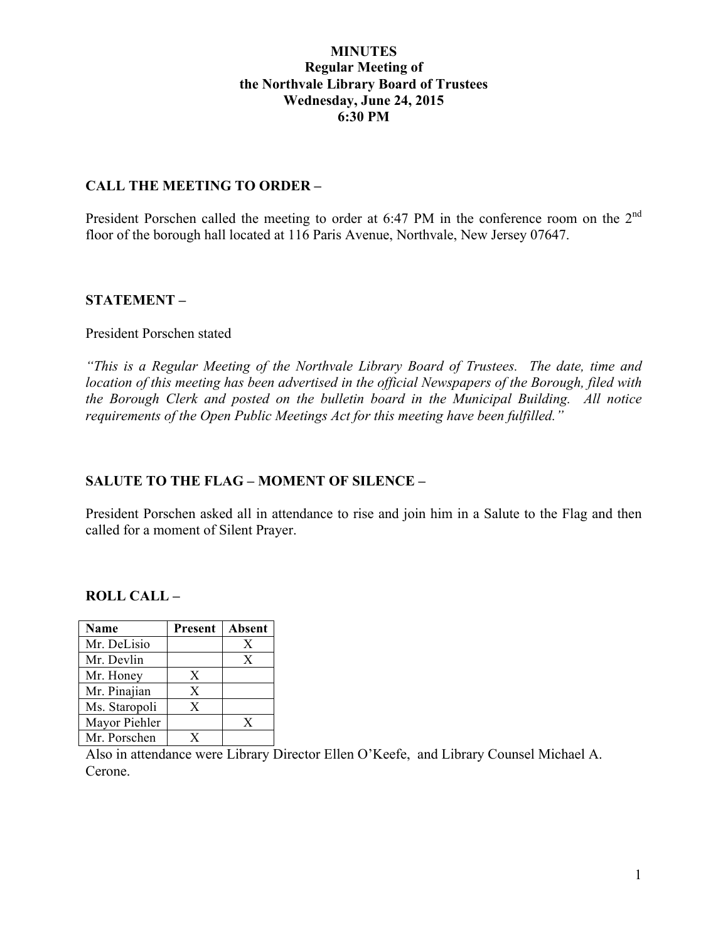#### **MINUTES Regular Meeting of the Northvale Library Board of Trustees Wednesday, June 24, 2015 6:30 PM**

#### **CALL THE MEETING TO ORDER –**

President Porschen called the meeting to order at 6:47 PM in the conference room on the 2<sup>nd</sup> floor of the borough hall located at 116 Paris Avenue, Northvale, New Jersey 07647.

#### **STATEMENT –**

#### President Porschen stated

*"This is a Regular Meeting of the Northvale Library Board of Trustees. The date, time and location of this meeting has been advertised in the official Newspapers of the Borough, filed with the Borough Clerk and posted on the bulletin board in the Municipal Building. All notice requirements of the Open Public Meetings Act for this meeting have been fulfilled."* 

# **SALUTE TO THE FLAG – MOMENT OF SILENCE –**

President Porschen asked all in attendance to rise and join him in a Salute to the Flag and then called for a moment of Silent Prayer.

#### **ROLL CALL –**

| Name          | Present | Absent |
|---------------|---------|--------|
| Mr. DeLisio   |         | X      |
| Mr. Devlin    |         | X      |
| Mr. Honey     | X       |        |
| Mr. Pinajian  | X       |        |
| Ms. Staropoli | X       |        |
| Mayor Piehler |         | X      |
| Mr. Porschen  |         |        |

Also in attendance were Library Director Ellen O'Keefe, and Library Counsel Michael A. Cerone.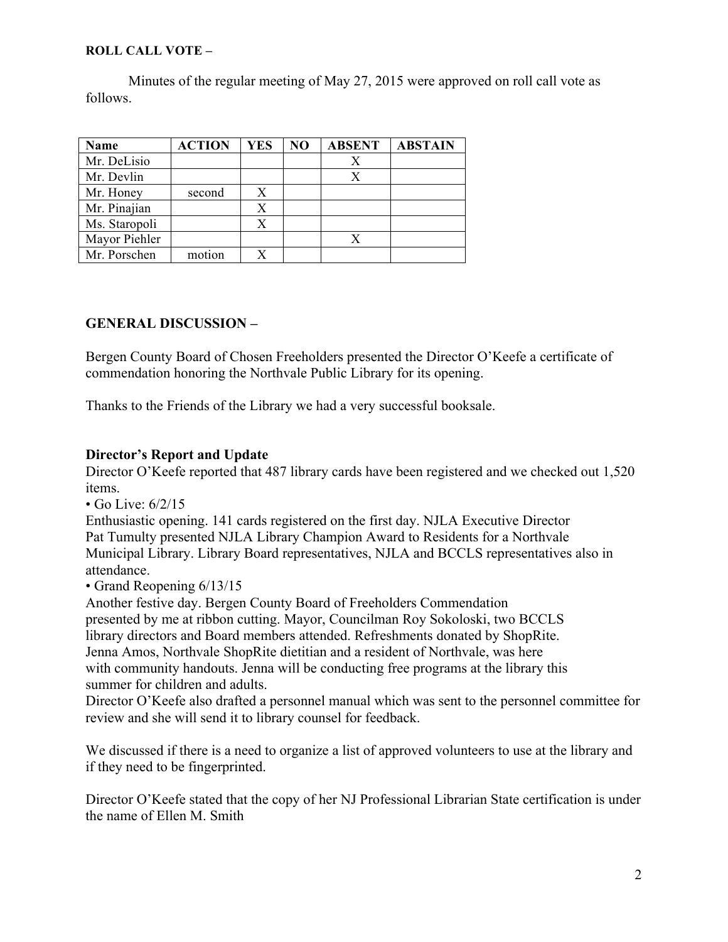#### **ROLL CALL VOTE –**

Minutes of the regular meeting of May 27, 2015 were approved on roll call vote as follows.

| Name          | <b>ACTION</b> | <b>YES</b> | N <sub>O</sub> | <b>ABSENT</b> | <b>ABSTAIN</b> |
|---------------|---------------|------------|----------------|---------------|----------------|
| Mr. DeLisio   |               |            |                |               |                |
| Mr. Devlin    |               |            |                |               |                |
| Mr. Honey     | second        |            |                |               |                |
| Mr. Pinajian  |               | X          |                |               |                |
| Ms. Staropoli |               | X          |                |               |                |
| Mayor Piehler |               |            |                |               |                |
| Mr. Porschen  | motion        |            |                |               |                |

# **GENERAL DISCUSSION –**

Bergen County Board of Chosen Freeholders presented the Director O'Keefe a certificate of commendation honoring the Northvale Public Library for its opening.

Thanks to the Friends of the Library we had a very successful booksale.

# **Director's Report and Update**

Director O'Keefe reported that 487 library cards have been registered and we checked out 1,520 items.

 $\cdot$  Go Live: 6/2/15

Enthusiastic opening. 141 cards registered on the first day. NJLA Executive Director Pat Tumulty presented NJLA Library Champion Award to Residents for a Northvale Municipal Library. Library Board representatives, NJLA and BCCLS representatives also in attendance.

# • Grand Reopening 6/13/15

Another festive day. Bergen County Board of Freeholders Commendation presented by me at ribbon cutting. Mayor, Councilman Roy Sokoloski, two BCCLS library directors and Board members attended. Refreshments donated by ShopRite. Jenna Amos, Northvale ShopRite dietitian and a resident of Northvale, was here with community handouts. Jenna will be conducting free programs at the library this summer for children and adults.

Director O'Keefe also drafted a personnel manual which was sent to the personnel committee for review and she will send it to library counsel for feedback.

We discussed if there is a need to organize a list of approved volunteers to use at the library and if they need to be fingerprinted.

Director O'Keefe stated that the copy of her NJ Professional Librarian State certification is under the name of Ellen M. Smith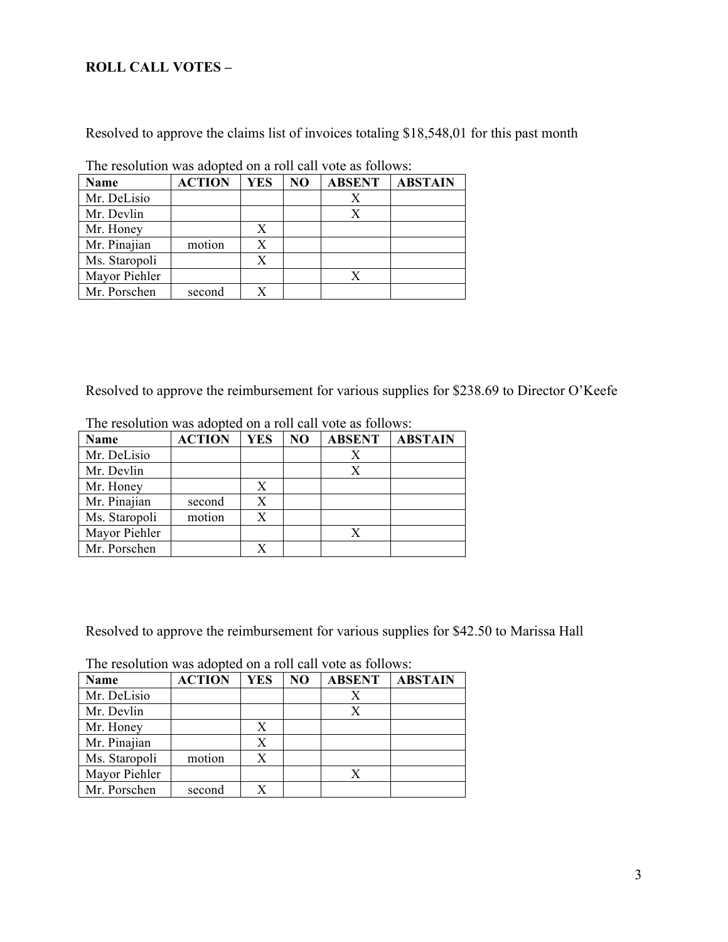# **ROLL CALL VOTES –**

Resolved to approve the claims list of invoices totaling \$18,548,01 for this past month

| The resolution was adopted on a foll early follows. |               |            |     |               |                |  |  |
|-----------------------------------------------------|---------------|------------|-----|---------------|----------------|--|--|
| Name                                                | <b>ACTION</b> | <b>YES</b> | NO. | <b>ABSENT</b> | <b>ABSTAIN</b> |  |  |
| Mr. DeLisio                                         |               |            |     |               |                |  |  |
| Mr. Devlin                                          |               |            |     | Х             |                |  |  |
| Mr. Honey                                           |               | X          |     |               |                |  |  |
| Mr. Pinajian                                        | motion        | X          |     |               |                |  |  |
| Ms. Staropoli                                       |               | X          |     |               |                |  |  |
| Mayor Piehler                                       |               |            |     | X             |                |  |  |
| Mr. Porschen                                        | second        |            |     |               |                |  |  |

The resolution was adopted on a roll call vote as follows:

Resolved to approve the reimbursement for various supplies for \$238.69 to Director O'Keefe

| <b>Name</b>   | <b>ACTION</b> | <b>YES</b> | NO | <b>ABSENT</b> | <b>ABSTAIN</b> |
|---------------|---------------|------------|----|---------------|----------------|
| Mr. DeLisio   |               |            |    |               |                |
| Mr. Devlin    |               |            |    | X             |                |
| Mr. Honey     |               | X          |    |               |                |
| Mr. Pinajian  | second        | X          |    |               |                |
| Ms. Staropoli | motion        |            |    |               |                |
| Mayor Piehler |               |            |    | X             |                |
| Mr. Porschen  |               |            |    |               |                |

The resolution was adopted on a roll call vote as follows:

Resolved to approve the reimbursement for various supplies for \$42.50 to Marissa Hall

| Name          | <b>ACTION</b> | <b>YES</b> | NO | <b>ABSENT</b> | <b>ABSTAIN</b> |
|---------------|---------------|------------|----|---------------|----------------|
| Mr. DeLisio   |               |            |    | X             |                |
| Mr. Devlin    |               |            |    | X             |                |
| Mr. Honey     |               |            |    |               |                |
| Mr. Pinajian  |               | X          |    |               |                |
| Ms. Staropoli | motion        | Х          |    |               |                |
| Mayor Piehler |               |            |    | X             |                |
| Mr. Porschen  | second        |            |    |               |                |

The resolution was adopted on a roll call vote as follows: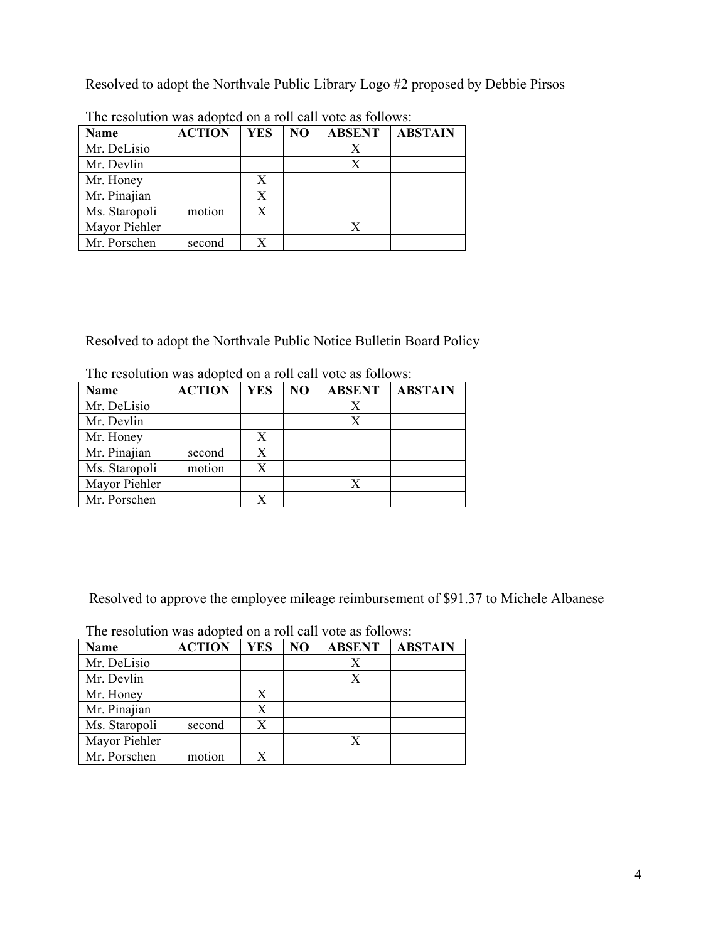Resolved to adopt the Northvale Public Library Logo #2 proposed by Debbie Pirsos

| Name          | <b>ACTION</b> | YES | N <sub>O</sub> | <b>ABSENT</b> | <b>ABSTAIN</b> |  |  |
|---------------|---------------|-----|----------------|---------------|----------------|--|--|
| Mr. DeLisio   |               |     |                |               |                |  |  |
| Mr. Devlin    |               |     |                | Х             |                |  |  |
| Mr. Honey     |               | X   |                |               |                |  |  |
| Mr. Pinajian  |               | Х   |                |               |                |  |  |
| Ms. Staropoli | motion        | X   |                |               |                |  |  |
| Mayor Piehler |               |     |                |               |                |  |  |
| Mr. Porschen  | second        |     |                |               |                |  |  |

The resolution was adopted on a roll call vote as follows:

Resolved to adopt the Northvale Public Notice Bulletin Board Policy

| <b>ACTION</b> | <b>YES</b> | N <sub>O</sub> | <b>ABSENT</b> | <b>ABSTAIN</b> |
|---------------|------------|----------------|---------------|----------------|
|               |            |                | Х             |                |
|               |            |                | X             |                |
|               | X          |                |               |                |
| second        | X          |                |               |                |
| motion        | X          |                |               |                |
|               |            |                |               |                |
|               | X          |                |               |                |
|               |            |                |               |                |

The resolution was adopted on a roll call vote as follows:

Resolved to approve the employee mileage reimbursement of \$91.37 to Michele Albanese

| The resolution was adopted on a foll early follows. |               |            |    |               |                |  |  |
|-----------------------------------------------------|---------------|------------|----|---------------|----------------|--|--|
| Name                                                | <b>ACTION</b> | <b>YES</b> | NO | <b>ABSENT</b> | <b>ABSTAIN</b> |  |  |
| Mr. DeLisio                                         |               |            |    |               |                |  |  |
| Mr. Devlin                                          |               |            |    | X             |                |  |  |
| Mr. Honey                                           |               | X          |    |               |                |  |  |
| Mr. Pinajian                                        |               | X          |    |               |                |  |  |
| Ms. Staropoli                                       | second        | X          |    |               |                |  |  |
| Mayor Piehler                                       |               |            |    | X             |                |  |  |
| Mr. Porschen                                        | motion        |            |    |               |                |  |  |

The resolution was adopted on a roll call vote as follows: